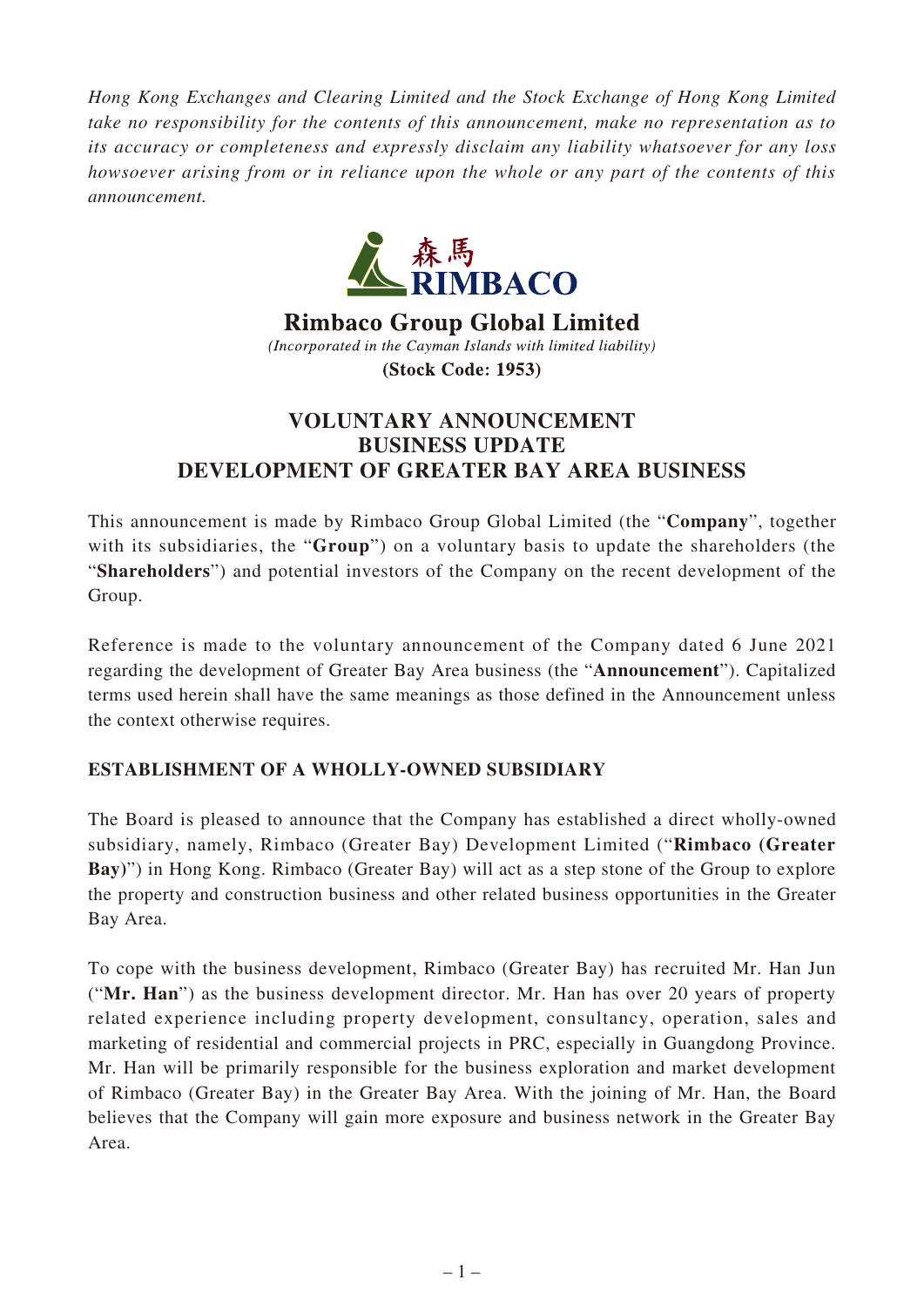*Hong Kong Exchanges and Clearing Limited and the Stock Exchange of Hong Kong Limited take no responsibility for the contents of this announcement, make no representation as to its accuracy or completeness and expressly disclaim any liability whatsoever for any loss howsoever arising from or in reliance upon the whole or any part of the contents of this announcement.*



**Rimbaco Group Global Limited** (Incorporated in the Cayman Islands with limited liability) (Stock Code: 1953)

## **VOLUNTARY ANNOUNCEMENT BUSINESS UPDATE DEVELOPMENT OF GREATER BAY AREA BUSINESS**

This announcement is made by Rimbaco Group Global Limited (the "**Company**", together with its subsidiaries, the "**Group**") on a voluntary basis to update the shareholders (the "**Shareholders**") and potential investors of the Company on the recent development of the Group.

Reference is made to the voluntary announcement of the Company dated 6 June 2021 regarding the development of Greater Bay Area business (the "**Announcement**"). Capitalized terms used herein shall have the same meanings as those defined in the Announcement unless the context otherwise requires.

## **ESTABLISHMENT OF A WHOLLY-OWNED SUBSIDIARY**

The Board is pleased to announce that the Company has established a direct wholly-owned subsidiary, namely, Rimbaco (Greater Bay) Development Limited ("**Rimbaco (Greater Bay)**") in Hong Kong. Rimbaco (Greater Bay) will act as a step stone of the Group to explore the property and construction business and other related business opportunities in the Greater Bay Area.

To cope with the business development, Rimbaco (Greater Bay) has recruited Mr. Han Jun ("**Mr. Han**") as the business development director. Mr. Han has over 20 years of property related experience including property development, consultancy, operation, sales and marketing of residential and commercial projects in PRC, especially in Guangdong Province. Mr. Han will be primarily responsible for the business exploration and market development of Rimbaco (Greater Bay) in the Greater Bay Area. With the joining of Mr. Han, the Board believes that the Company will gain more exposure and business network in the Greater Bay Area.